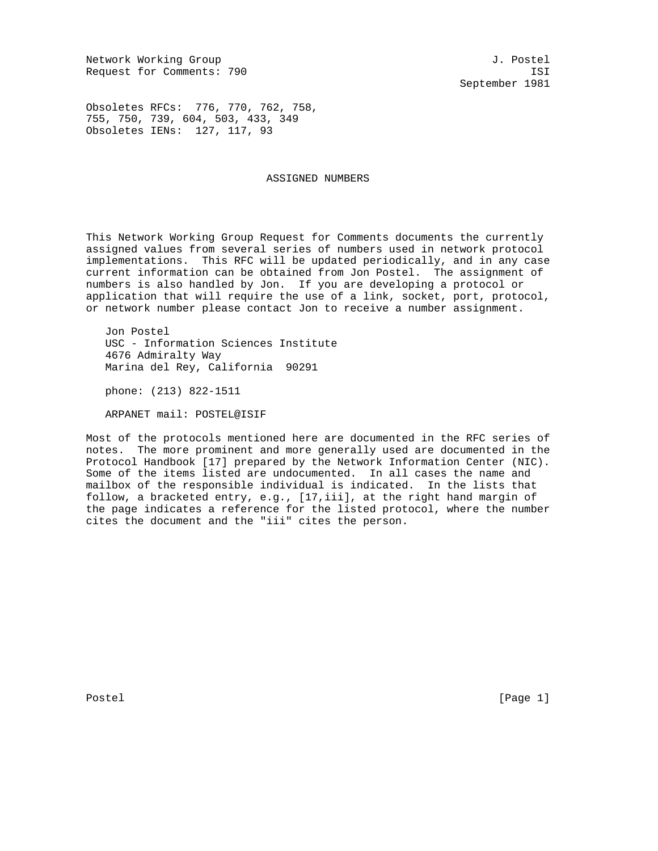Network Working Group and Section 1. Postel Request for Comments: 790 ISI

September 1981

Obsoletes RFCs: 776, 770, 762, 758, 755, 750, 739, 604, 503, 433, 349 Obsoletes IENs: 127, 117, 93

### ASSIGNED NUMBERS

This Network Working Group Request for Comments documents the currently assigned values from several series of numbers used in network protocol implementations. This RFC will be updated periodically, and in any case current information can be obtained from Jon Postel. The assignment of numbers is also handled by Jon. If you are developing a protocol or application that will require the use of a link, socket, port, protocol, or network number please contact Jon to receive a number assignment.

 Jon Postel USC - Information Sciences Institute 4676 Admiralty Way Marina del Rey, California 90291

phone: (213) 822-1511

ARPANET mail: POSTEL@ISIF

Most of the protocols mentioned here are documented in the RFC series of notes. The more prominent and more generally used are documented in the Protocol Handbook [17] prepared by the Network Information Center (NIC). Some of the items listed are undocumented. In all cases the name and mailbox of the responsible individual is indicated. In the lists that follow, a bracketed entry, e.g., [17,iii], at the right hand margin of the page indicates a reference for the listed protocol, where the number cites the document and the "iii" cites the person.

Postel [Page 1] [Page 1]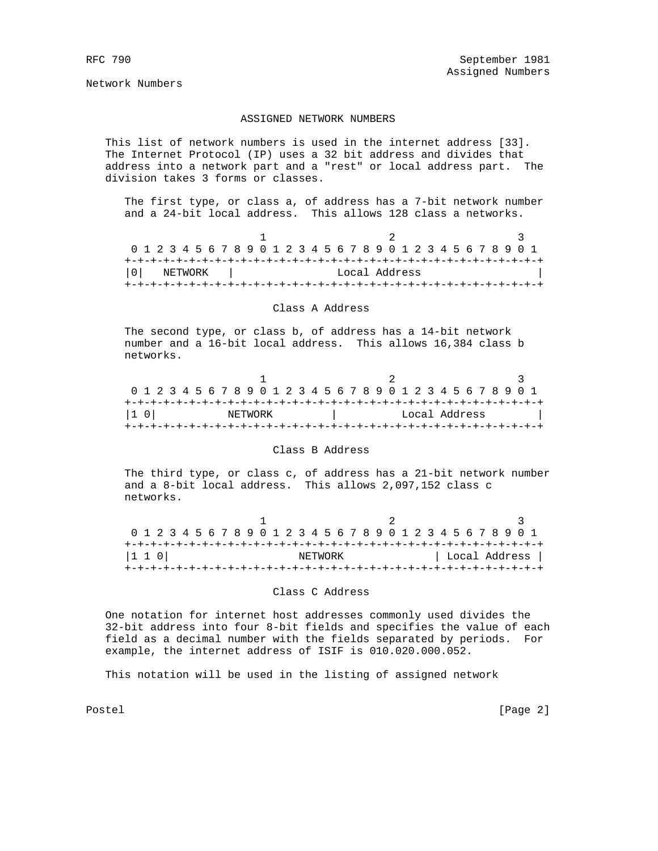Network Numbers

## ASSIGNED NETWORK NUMBERS

 This list of network numbers is used in the internet address [33]. The Internet Protocol (IP) uses a 32 bit address and divides that address into a network part and a "rest" or local address part. The division takes 3 forms or classes.

 The first type, or class a, of address has a 7-bit network number and a 24-bit local address. This allows 128 class a networks.

 $1$  and  $2$  3 0 1 2 3 4 5 6 7 8 9 0 1 2 3 4 5 6 7 8 9 0 1 2 3 4 5 6 7 8 9 0 1 +-+-+-+-+-+-+-+-+-+-+-+-+-+-+-+-+-+-+-+-+-+-+-+-+-+-+-+-+-+-+-+-+ |0| NETWORK | Local Address | +-+-+-+-+-+-+-+-+-+-+-+-+-+-+-+-+-+-+-+-+-+-+-+-+-+-+-+-+-+-+-+-+

#### Class A Address

 The second type, or class b, of address has a 14-bit network number and a 16-bit local address. This allows 16,384 class b networks.

| 0 1 2 3 4 5 6 7 8 9 0 1 2 3 4 5 6 7 8 9 0 1 2 3 4 5 6 7 8 9 0 1 |  |  |  |  |  |         |  |  |  |  |  |  |  |  |  |  |               |  |  |  |  |  |  |
|-----------------------------------------------------------------|--|--|--|--|--|---------|--|--|--|--|--|--|--|--|--|--|---------------|--|--|--|--|--|--|
|                                                                 |  |  |  |  |  |         |  |  |  |  |  |  |  |  |  |  |               |  |  |  |  |  |  |
| 11 OI                                                           |  |  |  |  |  | NETWORK |  |  |  |  |  |  |  |  |  |  | Local Address |  |  |  |  |  |  |
|                                                                 |  |  |  |  |  |         |  |  |  |  |  |  |  |  |  |  |               |  |  |  |  |  |  |

## Class B Address

 The third type, or class c, of address has a 21-bit network number and a 8-bit local address. This allows 2,097,152 class c networks.

| 0 1 2 3 4 5 6 7 8 9 0 1 2 3 4 5 6 7 8 9 0 1 2 3 4 5 6 7 8 9 0 1 |  |  |  |  |  |  |         |  |  |  |  |  |  |  |  |               |
|-----------------------------------------------------------------|--|--|--|--|--|--|---------|--|--|--|--|--|--|--|--|---------------|
|                                                                 |  |  |  |  |  |  |         |  |  |  |  |  |  |  |  |               |
| 1 1 0                                                           |  |  |  |  |  |  | NETWORK |  |  |  |  |  |  |  |  | Local Address |
|                                                                 |  |  |  |  |  |  |         |  |  |  |  |  |  |  |  |               |

### Class C Address

 One notation for internet host addresses commonly used divides the 32-bit address into four 8-bit fields and specifies the value of each field as a decimal number with the fields separated by periods. For example, the internet address of ISIF is 010.020.000.052.

This notation will be used in the listing of assigned network

Postel [Page 2]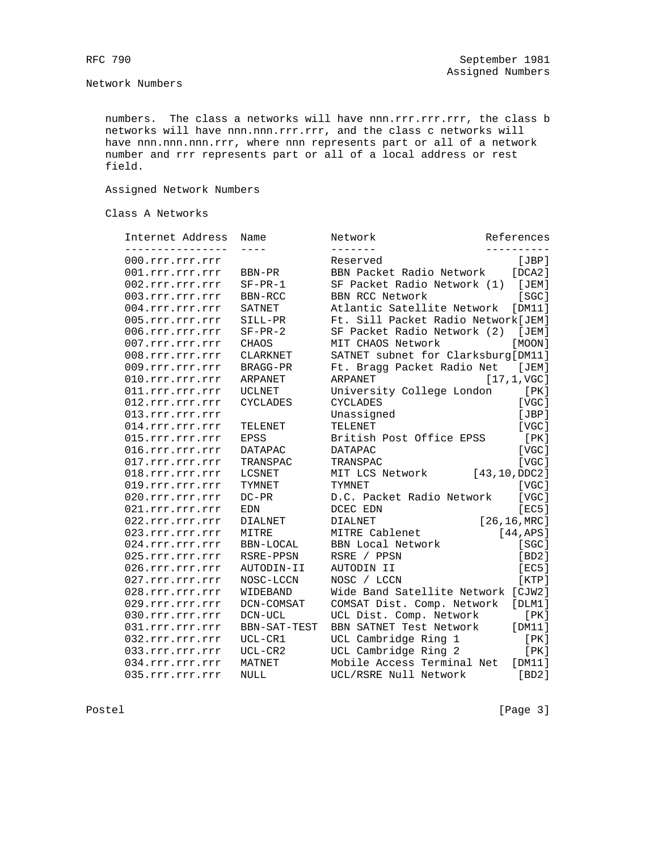Network Numbers

numbers. The class a networks will have nnn.rrr.rrr.rrr, the class b networks will have nnn.nnn.rrr.rrr, and the class c networks will have nnn.nnn.nnn.rrr, where nnn represents part or all of a network number and rrr represents part or all of a local address or rest field.

Assigned Network Numbers

Class A Networks

| Internet Address                       | Name            | Network                            | References             |
|----------------------------------------|-----------------|------------------------------------|------------------------|
| ----------                             |                 |                                    |                        |
| $000.\text{rrr}.\text{rrr}.\text{rrr}$ |                 | Reserved                           | [JBP]                  |
| 001.rrr.rrr.rrr                        | BBN-PR          | BBN Packet Radio Network           | [DCA2]                 |
| 002.rrr.rrr.rrr                        | $SF-PR-1$       | SF Packet Radio Network (1)        | [JEM]                  |
| 003.rrr.rrr.rrr                        | BBN-RCC         | <b>BBN RCC Network</b>             | SGC1                   |
| 004.rrr.rrr.rrr                        | SATNET          | Atlantic Satellite Network         | [DM11]                 |
| 005.rrr.rrr.rrr                        | SILL-PR         | Ft. Sill Packet Radio Network[JEM] |                        |
| 006.rrr.rrr.rrr                        | $SF-PR-2$       | SF Packet Radio Network (2)        | [JEM]                  |
| 007.rrr.rrr.rrr                        | <b>CHAOS</b>    | MIT CHAOS Network                  | [MOON]                 |
| 008.rrr.rrr.rrr                        | <b>CLARKNET</b> | SATNET subnet for Clarksburg[DM11] |                        |
| 009.rrr.rrr.rrr                        | BRAGG-PR        | Ft. Bragg Packet Radio Net         | [JEM]                  |
| 010.rrr.rrr.rrr                        | ARPANET         | ARPANET                            | $[17, 1, \text{VGC}]$  |
| 011.rrr.rrr.rrr                        | <b>UCLNET</b>   | University College London          | [ PK ]                 |
| 012.rrr.rrr.rrr                        | <b>CYCLADES</b> | <b>CYCLADES</b>                    | [VGC]                  |
| 013.rrr.rrr.rrr                        |                 | Unassigned                         | [JBP]                  |
| 014.rrr.rrr.rrr                        | TELENET         | <b>TELENET</b>                     | [VGC]                  |
| 015.rrr.rrr.rrr                        | <b>EPSS</b>     | British Post Office EPSS           | [PK]                   |
| 016.rrr.rrr.rrr                        | <b>DATAPAC</b>  | <b>DATAPAC</b>                     | [VGC]                  |
| 017.rrr.rrr.rrr                        | TRANSPAC        | TRANSPAC                           | [VGC]                  |
| 018.rrr.rrr.rrr                        | LCSNET          | MIT LCS Network                    | [43, 10, DDC2]         |
| 019.rrr.rrr.rrr                        | TYMNET          | TYMNET                             | [VGC]                  |
| 020.rrr.rrr.rrr                        | $DC-PR$         | D.C. Packet Radio Network          | [VGC]                  |
| 021.rrr.rrr.rrr                        | EDN             | DCEC EDN                           | [EC5]                  |
| 022.rrr.rrr.rrr                        | <b>DIALNET</b>  | <b>DIALNET</b>                     | $[26, 16, \text{MRC}]$ |
| 023.rrr.rrr.rrr                        | MITRE           | MITRE Cablenet                     | [44,APS]               |
| 024.rrr.rrr.rrr                        | BBN-LOCAL       | <b>BBN Local Network</b>           | [SC]                   |
| 025.rrr.rrr.rrr                        | RSRE-PPSN       | RSRE / PPSN                        | [BD2]                  |
| 026.rrr.rrr.rrr                        | AUTODIN-II      | AUTODIN II                         | [EC5]                  |
| 027.rrr.rrr.rrr                        | NOSC-LCCN       | NOSC / LCCN                        | [KTP]                  |
| 028.rrr.rrr.rrr                        | WIDEBAND        | Wide Band Satellite Network [CJW2] |                        |
| 029.rrr.rrr.rrr                        | DCN-COMSAT      | COMSAT Dist. Comp. Network         | [DIM1]                 |
| 030.rrr.rrr.rrr                        | DCN-UCL         | UCL Dist. Comp. Network            | [PK]                   |
| 031.rrr.rrr.rrr                        | BBN-SAT-TEST    | BBN SATNET Test Network            | [DM11]                 |
| 032.rrr.rrr.rrr                        | UCL-CR1         | UCL Cambridge Ring 1               | [PK]                   |
| 033.rrr.rrr.rrr                        | $UCL-CR2$       | UCL Cambridge Ring 2               | [ PK ]                 |
| 034.rrr.rrr.rrr                        | MATNET          | Mobile Access Terminal Net         | [DM11]                 |
| 035.rrr.rrr.rrr                        | <b>NULL</b>     | UCL/RSRE Null Network              | [BD2]                  |
|                                        |                 |                                    |                        |

Postel [Page 3]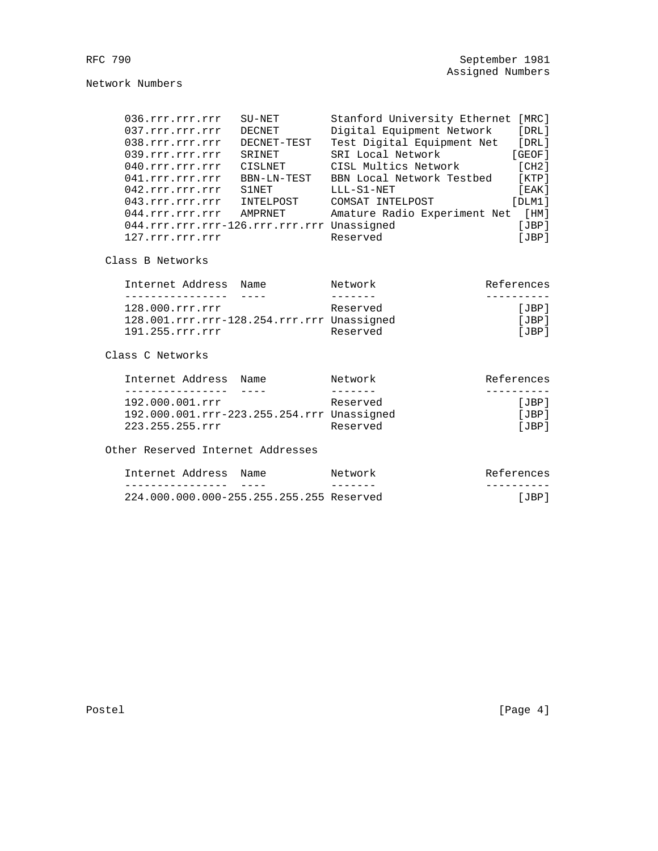Network Numbers

| 036.rrr.rrr.rrr                            | $SU-NET$    | Stanford University Ethernet | [MRC]   |
|--------------------------------------------|-------------|------------------------------|---------|
| 037.rrr.rrr.rrr                            | DECNET      | Digital Equipment Network    | [DRL]   |
| 038.rrr.rrr.rrr                            | DECNET-TEST | Test Digital Equipment Net   | [DRL]   |
| 039.rrr.rrr.rrr                            | SRINET      | SRI Local Network            | [GEOF]  |
| 040.rrr.rrr.rrr                            | CISLNET     | CISL Multics Network         | [CH2]   |
| 041.rrr.rrr.rrr                            | BBN-LN-TEST | BBN Local Network Testbed    | [KTP]   |
| 042.rrr.rrr.rrr                            | S1NET       | LLL-S1-NET                   | [ EAK ] |
| 043.rrr.rrr.rrr                            | INTELPOST   | COMSAT INTELPOST             | [DIM1]  |
| 044.rrr.rrr.rrr                            | AMPRNET     | Amature Radio Experiment Net | [HM]    |
| 044.rrr.rrr.rrr-126.rrr.rrr.rrr Unassigned |             |                              | [JBP]   |
| 127.rrr.rrr.rrr                            |             | Reserved                     | [JBP]   |
|                                            |             |                              |         |

Class B Networks

| Internet Address                           | Name | Network  | References |
|--------------------------------------------|------|----------|------------|
|                                            |      |          |            |
| 128.000.rrr.rrr                            |      | Reserved | [JBP]      |
| 128.001.rrr.rrr-128.254.rrr.rrr Unassigned |      |          | [JBP]      |
| 191.255.rrr.rrr                            |      | Reserved | [JBP]      |
|                                            |      |          |            |

# Class C Networks

| Internet Address                           | Name | Network  | References |
|--------------------------------------------|------|----------|------------|
|                                            |      |          |            |
| 192.000.001.rrr                            |      | Reserved | [JBP]      |
| 192.000.001.rrr-223.255.254.rrr Unassigned |      |          | [JBP]      |
| 223.255.255.rrr                            |      | Reserved | [JBP]      |

Other Reserved Internet Addresses

| Internet Address | Name                                     | Network | References |
|------------------|------------------------------------------|---------|------------|
|                  |                                          |         |            |
|                  | 224.000.000.000-255.255.255.255 Reserved |         | TBP 1      |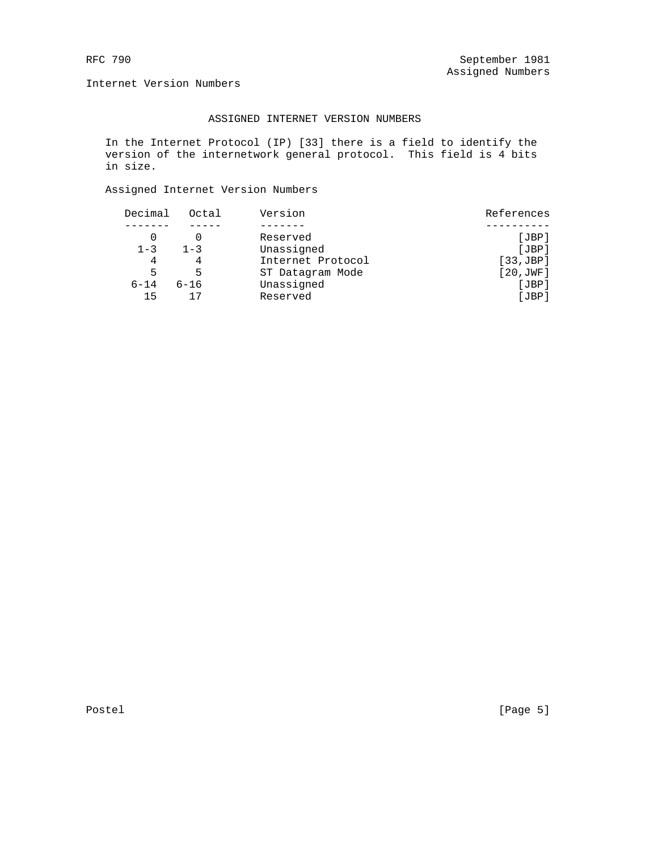Internet Version Numbers

## ASSIGNED INTERNET VERSION NUMBERS

 In the Internet Protocol (IP) [33] there is a field to identify the version of the internetwork general protocol. This field is 4 bits in size.

# Assigned Internet Version Numbers

| Decimal  | Octal    | Version           | References |
|----------|----------|-------------------|------------|
|          |          |                   |            |
|          |          | Reserved          | [JBP]      |
| $1 - 3$  | $1 - 3$  | Unassigned        | [JBP]      |
| 4        |          | Internet Protocol | [33,JBP]   |
| 5        | 5        | ST Datagram Mode  | [20, JWF]  |
| $6 - 14$ | $6 - 16$ | Unassigned        | [JBP]      |
| 15       |          | Reserved          | [JBP]      |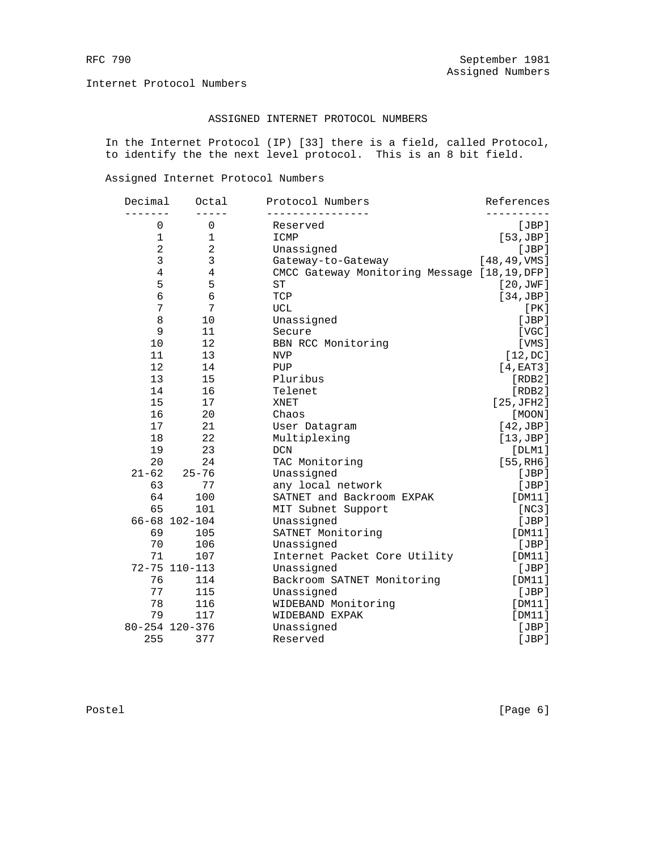Internet Protocol Numbers

## ASSIGNED INTERNET PROTOCOL NUMBERS

 In the Internet Protocol (IP) [33] there is a field, called Protocol, to identify the the next level protocol. This is an 8 bit field.

Assigned Internet Protocol Numbers

| Decimal        | Octal          | Protocol Numbers                             | References             |
|----------------|----------------|----------------------------------------------|------------------------|
| $\mathbf 0$    | 0              | Reserved                                     | [JBP]                  |
| $\mathbf 1$    | $\mathbf 1$    | ICMP                                         | [53,JBP]               |
| $\overline{a}$ | $\overline{a}$ | Unassigned                                   | [JBP]                  |
| 3              | 3              | Gateway-to-Gateway                           | $[48, 49,$ VMS]        |
| $\overline{4}$ | $\overline{4}$ | CMCC Gateway Monitoring Message [18,19, DFP] |                        |
| 5              | 5              | ${\rm ST}$                                   | [20, JWF]              |
| 6              | $\overline{6}$ | TCP                                          | [34,JBP]               |
| 7              | 7              | ${\tt UCL}$                                  | [PK]                   |
| 8              | 10             | Unassigned                                   | [JBP]                  |
| 9              | 11             | Secure                                       | [VGC]                  |
| 10             | 12             | BBN RCC Monitoring                           | [VMS]                  |
| 11             | 13             | <b>NVP</b>                                   | [12,DC]                |
| 12             | 14             | PUP                                          | [4, EAT3]              |
| 13             | 15             | Pluribus                                     | [RDB2]                 |
| 14             | 16             | Telenet                                      | [RDB2]                 |
| 15             | 17             | <b>XNET</b>                                  | [25,JFH2]              |
| 16             | 20             | Chaos                                        | [MOON]                 |
| 17             | 21             | User Datagram                                | [42,JBP]               |
| 18             | 22             | Multiplexing                                 | [13,JBP]               |
| 19             | 23             | <b>DCN</b>                                   | $[$ DLM $1]$           |
| 20             | 24             | TAC Monitoring                               | [55, R <sub>H6</sub> ] |
| $21 - 62$      | $25 - 76$      | Unassigned                                   | [JBP]                  |
| 63             | 77             | any local network                            | [JBP]                  |
| 64             | 100            | SATNET and Backroom EXPAK                    | [DM11]                 |
| 65             | 101            | MIT Subnet Support                           | [NC3]                  |
|                | 66-68 102-104  | Unassigned                                   | [JBP]                  |
| 69             | 105            | SATNET Monitoring                            | [DM11]                 |
| 70             | 106            | Unassigned                                   | [JBP]                  |
| 71             | 107            | Internet Packet Core Utility                 | [DM11]                 |
|                | 72-75 110-113  | Unassigned                                   | [JBP]                  |
| 76             | 114            | Backroom SATNET Monitoring                   | [DM11]                 |
| 77             | 115            | Unassigned                                   | [JBP]                  |
| 78             | 116            | WIDEBAND Monitoring                          | [DM11]                 |
| 79             | 117            | WIDEBAND EXPAK                               | [DM11]                 |
|                | 80-254 120-376 | Unassigned                                   | [JBP]                  |
| 255            | 377            | Reserved                                     | [JBP]                  |
|                |                |                                              |                        |

Postel [Page 6]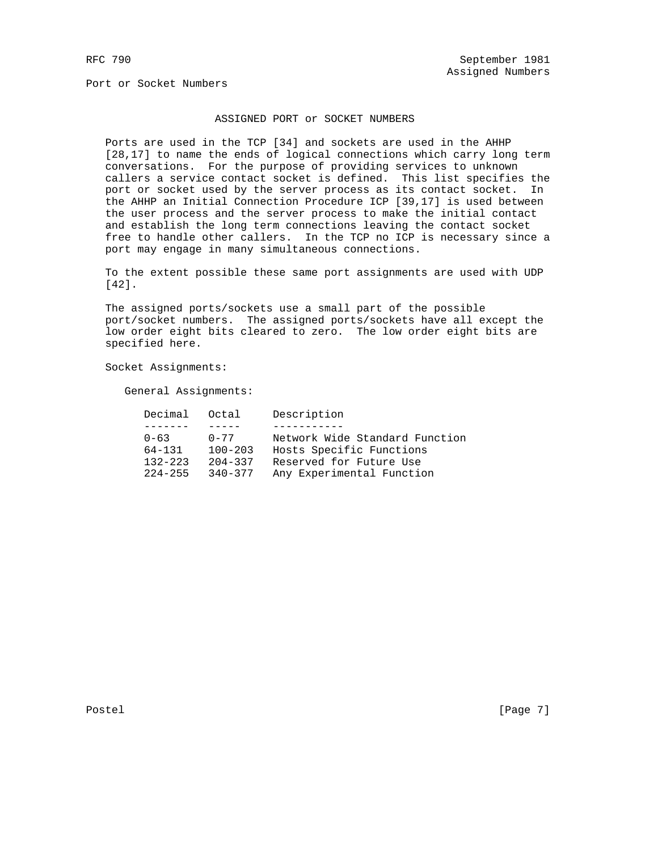## ASSIGNED PORT or SOCKET NUMBERS

 Ports are used in the TCP [34] and sockets are used in the AHHP [28,17] to name the ends of logical connections which carry long term conversations. For the purpose of providing services to unknown callers a service contact socket is defined. This list specifies the port or socket used by the server process as its contact socket. In the AHHP an Initial Connection Procedure ICP [39,17] is used between the user process and the server process to make the initial contact and establish the long term connections leaving the contact socket free to handle other callers. In the TCP no ICP is necessary since a port may engage in many simultaneous connections.

 To the extent possible these same port assignments are used with UDP [42].

 The assigned ports/sockets use a small part of the possible port/socket numbers. The assigned ports/sockets have all except the low order eight bits cleared to zero. The low order eight bits are specified here.

Socket Assignments:

General Assignments:

| Decimal Octal |             | Description                    |
|---------------|-------------|--------------------------------|
|               |             |                                |
| $0 - 63$      | $0 - 77$    | Network Wide Standard Function |
| $64 - 131$    | $100 - 203$ | Hosts Specific Functions       |
| $132 - 223$   | $204 - 337$ | Reserved for Future Use        |
| $224 - 255$   | $340 - 377$ | Any Experimental Function      |

Postel [Page 7]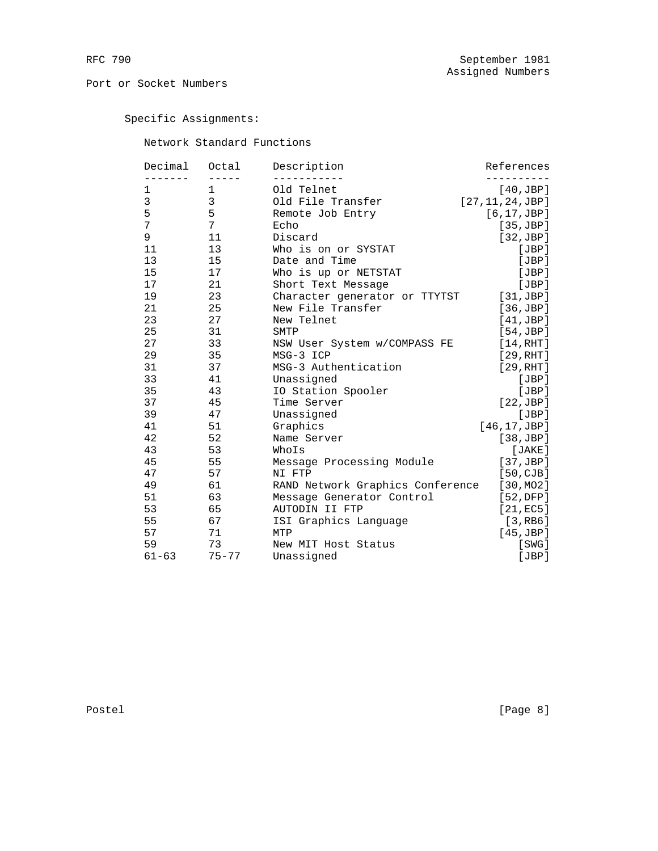Specific Assignments:

Network Standard Functions

| Decimal   | Octal        | Description                      | References        |
|-----------|--------------|----------------------------------|-------------------|
|           |              |                                  |                   |
| 1         | 1            | Old Telnet                       | [40,JBP]          |
| 3         | $\mathbf{3}$ | Old File Transfer                | [27, 11, 24, JBP] |
| 5         | 5            | Remote Job Entry                 | [6, 17, JBP]      |
| 7         | 7            | Echo                             | [35,JBP]          |
| 9         | 11           | Discard                          | [32,JBP]          |
| 11        | 13           | Who is on or SYSTAT              | [JBP]             |
| 13        | 15           | Date and Time                    | [JBP]             |
| 15        | 17           | Who is up or NETSTAT             | [JBP]             |
| 17        | 21           | Short Text Message               | [JBP]             |
| 19        | 23           | Character generator or TTYTST    | [31,JBP]          |
| 21        | 25           | New File Transfer                | [36,JBP]          |
| 23        | 27           | New Telnet                       | [41,JBP]          |
| 25        | 31           | SMTP                             | [54,JBP]          |
| 27        | 33           | NSW User System w/COMPASS FE     | [14, RHT]         |
| 29        | 35           | MSG-3 ICP                        | [29, RHT]         |
| 31        | 37           | MSG-3 Authentication             | [29, RHT]         |
| 33        | 41           | Unassigned                       | [JBP]             |
| 35        | 43           | IO Station Spooler               | [JBP]             |
| 37        | 45           | Time Server                      | [22,JBP]          |
| 39        | 47           | Unassigned                       | [JBP]             |
| 41        | 51           | Graphics                         | [46, 17, JBP]     |
| 42        | 52           | Name Server                      | [38,JBP]          |
| 43        | 53           | WhoIs                            | [JAKE]            |
| 45        | 55           | Message Processing Module        | [37,JBP]          |
| 47        | 57           | NI FTP                           | [50, CJB]         |
| 49        | 61           | RAND Network Graphics Conference | [30, MO2]         |
| 51        | 63           | Message Generator Control        | [52,DFP]          |
| 53        | 65           | AUTODIN II FTP                   | [21,EC5]          |
| 55        | 67           | ISI Graphics Language            | [3, RB6]          |
| 57        | 71           | MTP                              | [45, JBP]         |
| 59        | 73           | New MIT Host Status              | [SWG]             |
| $61 - 63$ | $75 - 77$    | Unassigned                       | [JBP]             |
|           |              |                                  |                   |

Postel [Page 8]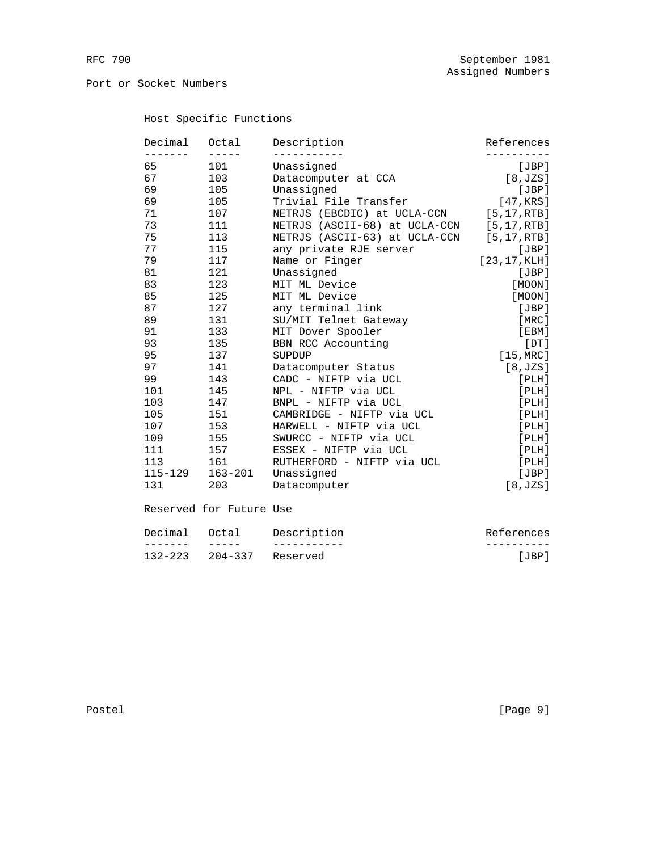# Host Specific Functions

| Decimal<br>$\frac{1}{2}$ | Octal<br>$- - - - -$ | Description                   | References     |
|--------------------------|----------------------|-------------------------------|----------------|
| 65                       | 101                  | Unassigned                    | [JBP]          |
| 67                       | 103                  | Datacomputer at CCA           | [8, JZS]       |
| 69                       | 105                  | Unassigned                    | [JBP]          |
| 69                       | 105                  | Trivial File Transfer         | [47,KRS]       |
| 71                       | 107                  | NETRJS (EBCDIC) at UCLA-CCN   | $[5, 17,$ RTB] |
| 73                       | 111                  | NETRJS (ASCII-68) at UCLA-CCN | [5, 17, RTB]   |
| 75                       | 113                  | NETRJS (ASCII-63) at UCLA-CCN | $[5, 17,$ RTB] |
| 77                       | 115                  | any private RJE server        | [JBP]          |
| 79                       | 117                  | Name or Finger                | [23, 17, KLH]  |
| 81                       | 121                  | Unassigned                    | [JBP]          |
| 83                       | 123                  | MIT ML Device                 | [MOON]         |
| 85                       | 125                  | MIT ML Device                 | [MOON]         |
| 87                       | 127                  | any terminal link             | [JBP]          |
| 89                       | 131                  | SU/MIT Telnet Gateway         | [MRC]          |
| 91                       | 133                  | MIT Dover Spooler             | [EBM]          |
| 93                       | 135                  | BBN RCC Accounting            | [DT]           |
| 95                       | 137                  | SUPDUP                        | $[15,$ MRC]    |
| 97                       | 141                  | Datacomputer Status           | [8, JZS]       |
| 99                       | 143                  | CADC - NIFTP via UCL          | [PLH]          |
| 101                      | 145                  | NPL - NIFTP via UCL           | [PLH]          |
| 103                      | 147                  | BNPL - NIFTP via UCL          | [PLH]          |
| 105                      | 151                  | CAMBRIDGE - NIFTP via UCL     | [PLH]          |
| 107                      | 153                  | HARWELL - NIFTP via UCL       | [PLH]          |
| 109                      | 155                  | SWURCC - NIFTP via UCL        | [PLH]          |
| 111                      | 157                  | ESSEX - NIFTP via UCL         | [PLH]          |
| 113                      | 161                  | RUTHERFORD - NIFTP via UCL    | [PLH]          |
| $115 - 129$              | $163 - 201$          | Unassigned                    | [JBP]          |
| 131                      | 203                  | Datacomputer                  | [8, JZS]       |

# Reserved for Future Use

| References | Description              | Decimal Octal |  |
|------------|--------------------------|---------------|--|
|            |                          |               |  |
| . JBP      | 132-223 204-337 Reserved |               |  |

Postel [Page 9]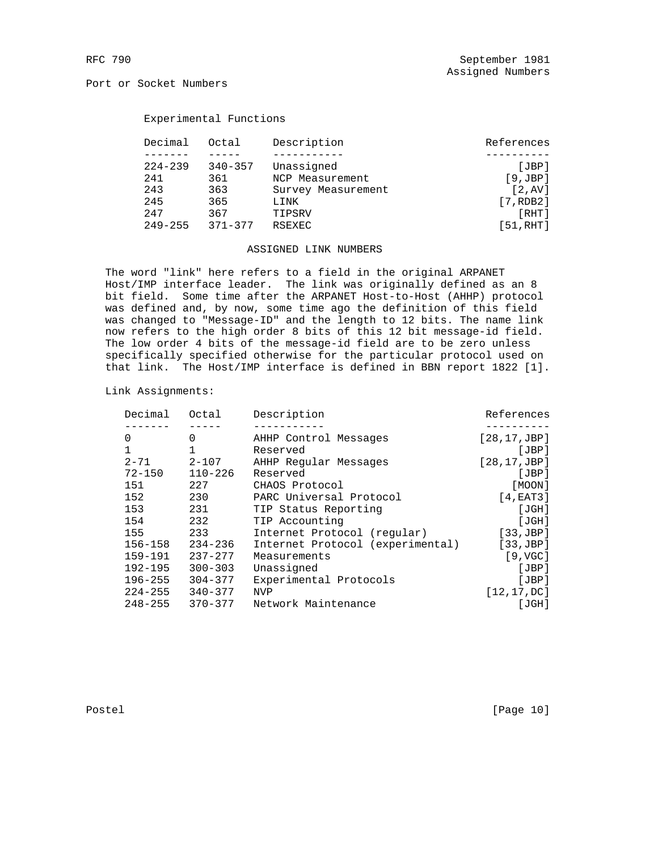## Experimental Functions

|     | Decimal     | Octal       | Description        | References |
|-----|-------------|-------------|--------------------|------------|
|     |             |             |                    |            |
|     | $224 - 239$ | $340 - 357$ | Unassigned         | JBP        |
| 241 |             | 361         | NCP Measurement    | [9,JBP]    |
| 243 |             | 363         | Survey Measurement | [2, AV]    |
| 245 |             | 365         | LINK               | [7, RDB2]  |
| 247 | 367         |             | TIPSRV             | [RHT]      |
|     | $249 - 255$ | $371 - 377$ | <b>RSEXEC</b>      | [51, RHT]  |

## ASSIGNED LINK NUMBERS

 The word "link" here refers to a field in the original ARPANET Host/IMP interface leader. The link was originally defined as an 8 bit field. Some time after the ARPANET Host-to-Host (AHHP) protocol was defined and, by now, some time ago the definition of this field was changed to "Message-ID" and the length to 12 bits. The name link now refers to the high order 8 bits of this 12 bit message-id field. The low order 4 bits of the message-id field are to be zero unless specifically specified otherwise for the particular protocol used on that link. The Host/IMP interface is defined in BBN report 1822 [1].

Link Assignments:

| Decimal     | Octal       | Description                      | References        |
|-------------|-------------|----------------------------------|-------------------|
|             |             |                                  |                   |
| 0           | 0           | AHHP Control Messages            | [28, 17, JBP]     |
| $\mathbf 1$ |             | Reserved                         | [JBP]             |
| $2 - 71$    | $2 - 107$   | AHHP Regular Messages            | [28, 17, JBP]     |
| $72 - 150$  | $110 - 226$ | Reserved                         | [JBP]             |
| 151         | 227         | CHAOS Protocol                   | [MOON]            |
| 152         | 230         | PARC Universal Protocol          | [4, EAT3]         |
| 153         | 231         | TIP Status Reporting             | [JGH]             |
| 154         | 232         | TIP Accounting                   | [JGH]             |
| 155         | 233         | Internet Protocol (regular)      | [33,JBP]          |
| $156 - 158$ | $234 - 236$ | Internet Protocol (experimental) | [33,JBP]          |
| $159 - 191$ | $237 - 277$ | Measurements                     | $[9, \text{VGC}]$ |
| $192 - 195$ | $300 - 303$ | Unassigned                       | [JBP]             |
| $196 - 255$ | $304 - 377$ | Experimental Protocols           | [JBP]             |
| $224 - 255$ | $340 - 377$ | <b>NVP</b>                       | [12, 17, DC]      |
| $248 - 255$ | 370-377     | Network Maintenance              | [JGH]             |

Postel [Page 10]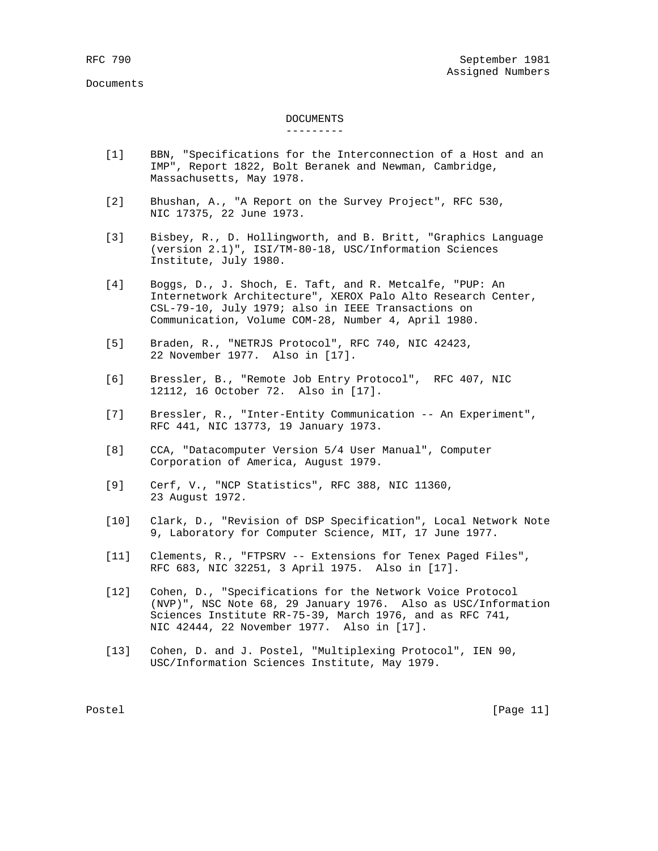### Documents

# DOCUMENTS

### ---------

- [1] BBN, "Specifications for the Interconnection of a Host and an IMP", Report 1822, Bolt Beranek and Newman, Cambridge, Massachusetts, May 1978.
- [2] Bhushan, A., "A Report on the Survey Project", RFC 530, NIC 17375, 22 June 1973.
- [3] Bisbey, R., D. Hollingworth, and B. Britt, "Graphics Language (version 2.1)", ISI/TM-80-18, USC/Information Sciences Institute, July 1980.
- [4] Boggs, D., J. Shoch, E. Taft, and R. Metcalfe, "PUP: An Internetwork Architecture", XEROX Palo Alto Research Center, CSL-79-10, July 1979; also in IEEE Transactions on Communication, Volume COM-28, Number 4, April 1980.
- [5] Braden, R., "NETRJS Protocol", RFC 740, NIC 42423, 22 November 1977. Also in [17].
- [6] Bressler, B., "Remote Job Entry Protocol", RFC 407, NIC 12112, 16 October 72. Also in [17].
- [7] Bressler, R., "Inter-Entity Communication -- An Experiment", RFC 441, NIC 13773, 19 January 1973.
- [8] CCA, "Datacomputer Version 5/4 User Manual", Computer Corporation of America, August 1979.
- [9] Cerf, V., "NCP Statistics", RFC 388, NIC 11360, 23 August 1972.
- [10] Clark, D., "Revision of DSP Specification", Local Network Note 9, Laboratory for Computer Science, MIT, 17 June 1977.
- [11] Clements, R., "FTPSRV -- Extensions for Tenex Paged Files", RFC 683, NIC 32251, 3 April 1975. Also in [17].
- [12] Cohen, D., "Specifications for the Network Voice Protocol (NVP)", NSC Note 68, 29 January 1976. Also as USC/Information Sciences Institute RR-75-39, March 1976, and as RFC 741, NIC 42444, 22 November 1977. Also in [17].
- [13] Cohen, D. and J. Postel, "Multiplexing Protocol", IEN 90, USC/Information Sciences Institute, May 1979.

Postel [Page 11]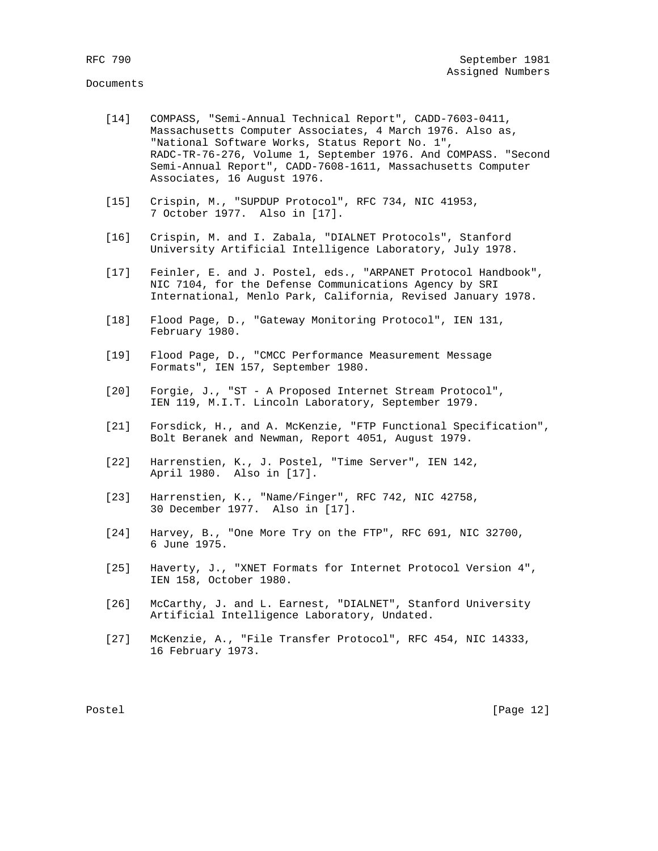- [14] COMPASS, "Semi-Annual Technical Report", CADD-7603-0411, Massachusetts Computer Associates, 4 March 1976. Also as, "National Software Works, Status Report No. 1", RADC-TR-76-276, Volume 1, September 1976. And COMPASS. "Second Semi-Annual Report", CADD-7608-1611, Massachusetts Computer Associates, 16 August 1976.
- [15] Crispin, M., "SUPDUP Protocol", RFC 734, NIC 41953, 7 October 1977. Also in [17].
- [16] Crispin, M. and I. Zabala, "DIALNET Protocols", Stanford University Artificial Intelligence Laboratory, July 1978.
- [17] Feinler, E. and J. Postel, eds., "ARPANET Protocol Handbook", NIC 7104, for the Defense Communications Agency by SRI International, Menlo Park, California, Revised January 1978.
- [18] Flood Page, D., "Gateway Monitoring Protocol", IEN 131, February 1980.
- [19] Flood Page, D., "CMCC Performance Measurement Message Formats", IEN 157, September 1980.
- [20] Forgie, J., "ST A Proposed Internet Stream Protocol", IEN 119, M.I.T. Lincoln Laboratory, September 1979.
- [21] Forsdick, H., and A. McKenzie, "FTP Functional Specification", Bolt Beranek and Newman, Report 4051, August 1979.
- [22] Harrenstien, K., J. Postel, "Time Server", IEN 142, April 1980. Also in [17].
- [23] Harrenstien, K., "Name/Finger", RFC 742, NIC 42758, 30 December 1977. Also in [17].
- [24] Harvey, B., "One More Try on the FTP", RFC 691, NIC 32700, 6 June 1975.
- [25] Haverty, J., "XNET Formats for Internet Protocol Version 4", IEN 158, October 1980.
- [26] McCarthy, J. and L. Earnest, "DIALNET", Stanford University Artificial Intelligence Laboratory, Undated.
- [27] McKenzie, A., "File Transfer Protocol", RFC 454, NIC 14333, 16 February 1973.

Postel [Page 12]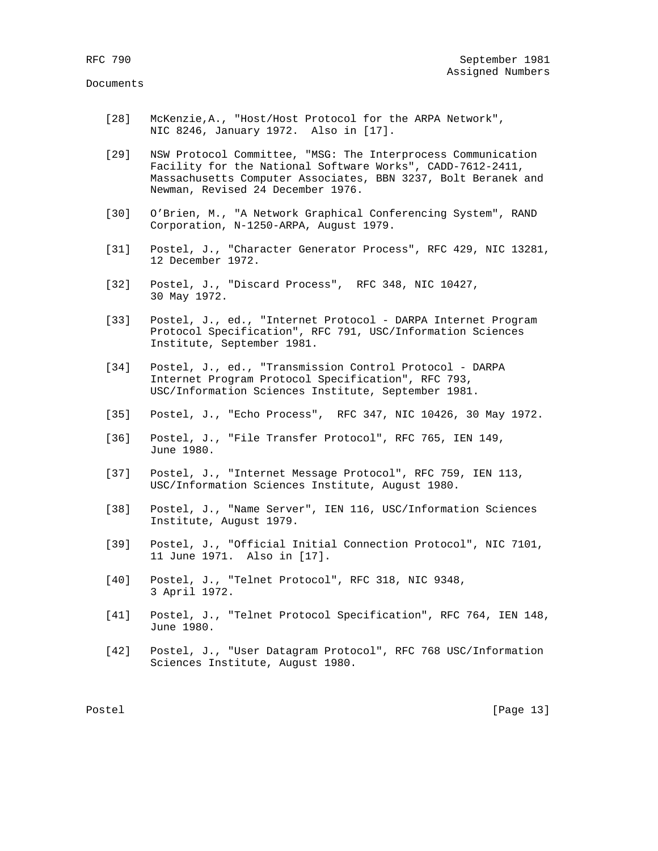### Documents

- [28] McKenzie,A., "Host/Host Protocol for the ARPA Network", NIC 8246, January 1972. Also in [17].
- [29] NSW Protocol Committee, "MSG: The Interprocess Communication Facility for the National Software Works", CADD-7612-2411, Massachusetts Computer Associates, BBN 3237, Bolt Beranek and Newman, Revised 24 December 1976.
- [30] O'Brien, M., "A Network Graphical Conferencing System", RAND Corporation, N-1250-ARPA, August 1979.
- [31] Postel, J., "Character Generator Process", RFC 429, NIC 13281, 12 December 1972.
- [32] Postel, J., "Discard Process", RFC 348, NIC 10427, 30 May 1972.
- [33] Postel, J., ed., "Internet Protocol DARPA Internet Program Protocol Specification", RFC 791, USC/Information Sciences Institute, September 1981.
- [34] Postel, J., ed., "Transmission Control Protocol DARPA Internet Program Protocol Specification", RFC 793, USC/Information Sciences Institute, September 1981.
- [35] Postel, J., "Echo Process", RFC 347, NIC 10426, 30 May 1972.
- [36] Postel, J., "File Transfer Protocol", RFC 765, IEN 149, June 1980.
- [37] Postel, J., "Internet Message Protocol", RFC 759, IEN 113, USC/Information Sciences Institute, August 1980.
- [38] Postel, J., "Name Server", IEN 116, USC/Information Sciences Institute, August 1979.
- [39] Postel, J., "Official Initial Connection Protocol", NIC 7101, 11 June 1971. Also in [17].
- [40] Postel, J., "Telnet Protocol", RFC 318, NIC 9348, 3 April 1972.
- [41] Postel, J., "Telnet Protocol Specification", RFC 764, IEN 148, June 1980.
- [42] Postel, J., "User Datagram Protocol", RFC 768 USC/Information Sciences Institute, August 1980.

Postel [Page 13]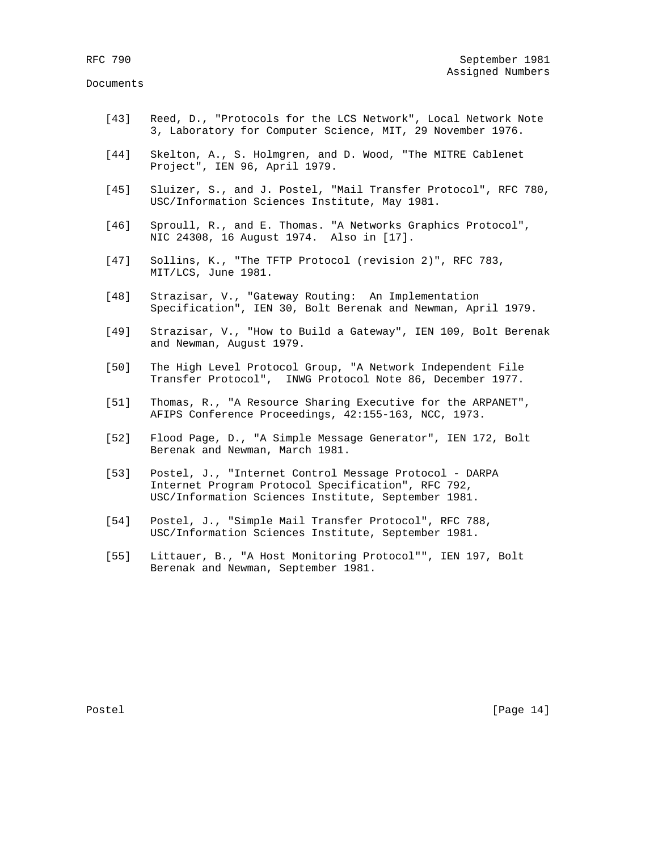Documents

- [43] Reed, D., "Protocols for the LCS Network", Local Network Note 3, Laboratory for Computer Science, MIT, 29 November 1976.
- [44] Skelton, A., S. Holmgren, and D. Wood, "The MITRE Cablenet Project", IEN 96, April 1979.
- [45] Sluizer, S., and J. Postel, "Mail Transfer Protocol", RFC 780, USC/Information Sciences Institute, May 1981.
- [46] Sproull, R., and E. Thomas. "A Networks Graphics Protocol", NIC 24308, 16 August 1974. Also in [17].
- [47] Sollins, K., "The TFTP Protocol (revision 2)", RFC 783, MIT/LCS, June 1981.
- [48] Strazisar, V., "Gateway Routing: An Implementation Specification", IEN 30, Bolt Berenak and Newman, April 1979.
- [49] Strazisar, V., "How to Build a Gateway", IEN 109, Bolt Berenak and Newman, August 1979.
- [50] The High Level Protocol Group, "A Network Independent File Transfer Protocol", INWG Protocol Note 86, December 1977.
- [51] Thomas, R., "A Resource Sharing Executive for the ARPANET", AFIPS Conference Proceedings, 42:155-163, NCC, 1973.
- [52] Flood Page, D., "A Simple Message Generator", IEN 172, Bolt Berenak and Newman, March 1981.
- [53] Postel, J., "Internet Control Message Protocol DARPA Internet Program Protocol Specification", RFC 792, USC/Information Sciences Institute, September 1981.
- [54] Postel, J., "Simple Mail Transfer Protocol", RFC 788, USC/Information Sciences Institute, September 1981.
- [55] Littauer, B., "A Host Monitoring Protocol"", IEN 197, Bolt Berenak and Newman, September 1981.

Postel [Page 14]